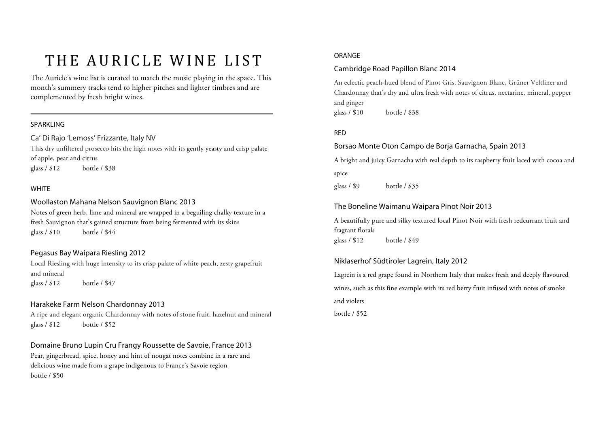# THE AURICLE WINE LIST

The Auricle's wine list is curated to match the music playing in the space. This month's summery tracks tend to higher pitches and lighter timbres and are complemented by fresh bright wines.

#### SPARKLING

Ca' Di Rajo 'Lemoss' Frizzante, Italy NV

This dry unfiltered prosecco hits the high notes with its gently yeasty and crisp palate of apple, pear and citrus glass / \$12 bottle / \$38

#### **WHITE**

## Woollaston Mahana Nelson Sauvignon Blanc 2013

Notes of green herb, lime and mineral are wrapped in a beguiling chalky texture in a fresh Sauvignon that's gained structure from being fermented with its skins glass / \$10 bottle / \$44

# Pegasus Bay Waipara Riesling 2012

Local Riesling with huge intensity to its crisp palate of white peach, zesty grapefruit and mineral glass / \$12 bottle / \$47

## Harakeke Farm Nelson Chardonnay 2013

A ripe and elegant organic Chardonnay with notes of stone fruit, hazelnut and mineral glass / \$12 bottle / \$52

Domaine Bruno Lupin Cru Frangy Roussette de Savoie, France 2013 Pear, gingerbread, spice, honey and hint of nougat notes combine in a rare and delicious wine made from a grape indigenous to France's Savoie region bottle / \$50

#### ORANGE

# Cambridge Road Papillon Blanc 2014

An eclectic peach-hued blend of Pinot Gris, Sauvignon Blanc, Grüner Veltliner and Chardonnay that's dry and ultra fresh with notes of citrus, nectarine, mineral, pepper and ginger

glass / \$10 bottle / \$38

#### RED

# Borsao Monte Oton Campo de Borja Garnacha, Spain 2013

A bright and juicy Garnacha with real depth to its raspberry fruit laced with cocoa and spice

glass / \$9 bottle / \$35

# The Boneline Waimanu Waipara Pinot Noir 2013

A beautifully pure and silky textured local Pinot Noir with fresh redcurrant fruit and fragrant florals glass / \$12 bottle / \$49

## Niklaserhof Südtiroler Lagrein, Italy 2012

Lagrein is a red grape found in Northern Italy that makes fresh and deeply flavoured wines, such as this fine example with its red berry fruit infused with notes of smoke and violets

bottle / \$52